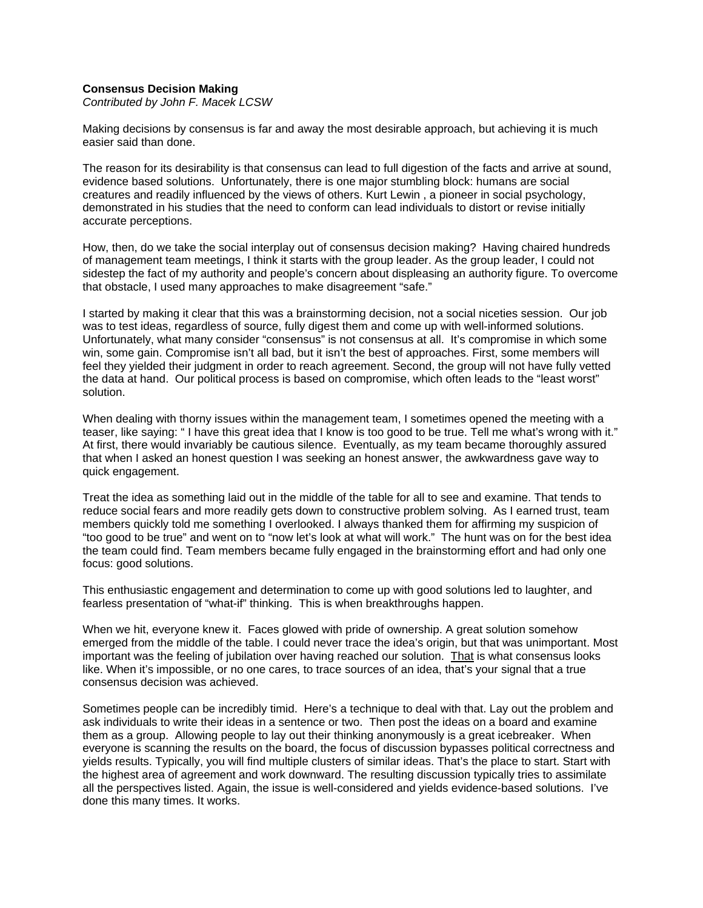## **Consensus Decision Making**

*Contributed by John F. Macek LCSW* 

Making decisions by consensus is far and away the most desirable approach, but achieving it is much easier said than done.

The reason for its desirability is that consensus can lead to full digestion of the facts and arrive at sound, evidence based solutions. Unfortunately, there is one major stumbling block: humans are social creatures and readily influenced by the views of others. Kurt Lewin , a pioneer in social psychology, demonstrated in his studies that the need to conform can lead individuals to distort or revise initially accurate perceptions.

How, then, do we take the social interplay out of consensus decision making? Having chaired hundreds of management team meetings, I think it starts with the group leader. As the group leader, I could not sidestep the fact of my authority and people's concern about displeasing an authority figure. To overcome that obstacle, I used many approaches to make disagreement "safe."

I started by making it clear that this was a brainstorming decision, not a social niceties session. Our job was to test ideas, regardless of source, fully digest them and come up with well-informed solutions. Unfortunately, what many consider "consensus" is not consensus at all. It's compromise in which some win, some gain. Compromise isn't all bad, but it isn't the best of approaches. First, some members will feel they yielded their judgment in order to reach agreement. Second, the group will not have fully vetted the data at hand. Our political process is based on compromise, which often leads to the "least worst" solution.

When dealing with thorny issues within the management team, I sometimes opened the meeting with a teaser, like saying: " I have this great idea that I know is too good to be true. Tell me what's wrong with it." At first, there would invariably be cautious silence. Eventually, as my team became thoroughly assured that when I asked an honest question I was seeking an honest answer, the awkwardness gave way to quick engagement.

Treat the idea as something laid out in the middle of the table for all to see and examine. That tends to reduce social fears and more readily gets down to constructive problem solving. As I earned trust, team members quickly told me something I overlooked. I always thanked them for affirming my suspicion of "too good to be true" and went on to "now let's look at what will work." The hunt was on for the best idea the team could find. Team members became fully engaged in the brainstorming effort and had only one focus: good solutions.

This enthusiastic engagement and determination to come up with good solutions led to laughter, and fearless presentation of "what-if" thinking. This is when breakthroughs happen.

When we hit, everyone knew it. Faces glowed with pride of ownership. A great solution somehow emerged from the middle of the table. I could never trace the idea's origin, but that was unimportant. Most important was the feeling of jubilation over having reached our solution. That is what consensus looks like. When it's impossible, or no one cares, to trace sources of an idea, that's your signal that a true consensus decision was achieved.

Sometimes people can be incredibly timid. Here's a technique to deal with that. Lay out the problem and ask individuals to write their ideas in a sentence or two. Then post the ideas on a board and examine them as a group. Allowing people to lay out their thinking anonymously is a great icebreaker. When everyone is scanning the results on the board, the focus of discussion bypasses political correctness and yields results. Typically, you will find multiple clusters of similar ideas. That's the place to start. Start with the highest area of agreement and work downward. The resulting discussion typically tries to assimilate all the perspectives listed. Again, the issue is well-considered and yields evidence-based solutions. I've done this many times. It works.